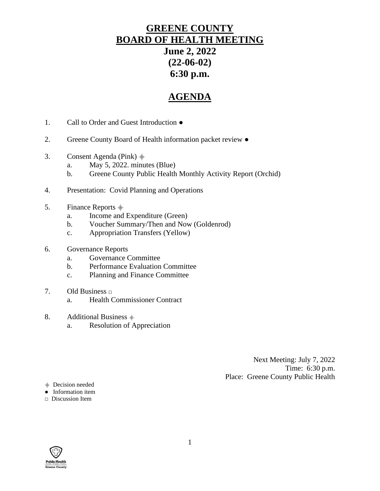# **GREENE COUNTY BOARD OF HEALTH MEETING June 2, 2022 (22-06-02) 6:30 p.m.**

# **AGENDA**

- 1. Call to Order and Guest Introduction ●
- 2. Greene County Board of Health information packet review ●
- 3. Consent Agenda (Pink)  $\stackrel{\triangle}{\equiv}$ 
	- a. May 5, 2022. minutes (Blue)
	- b. Greene County Public Health Monthly Activity Report (Orchid)
- 4. Presentation: Covid Planning and Operations
- 5. Finance Reports  $\stackrel{\text{\tiny def}}{=}$ 
	- a. Income and Expenditure (Green)
	- b. Voucher Summary/Then and Now (Goldenrod)
	- c. Appropriation Transfers (Yellow)
- 6. Governance Reports
	- a. Governance Committee
	- b. Performance Evaluation Committee
	- c. Planning and Finance Committee
- 7. Old Business **□**
	- a. Health Commissioner Contract
- 8. Additional Business  $\triangleq$ 
	- a. Resolution of Appreciation

Next Meeting: July 7, 2022 Time: 6:30 p.m. Place: Greene County Public Health

⸎ Decision needed

• Information item

**□** Discussion Item

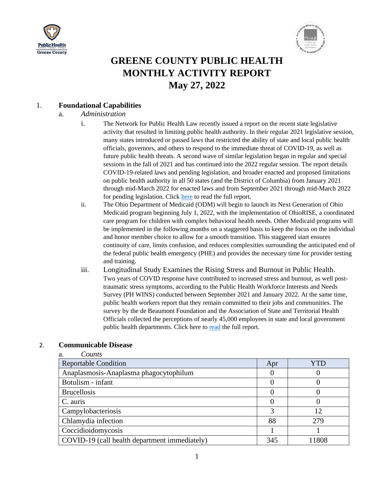



# **GREENE COUNTY PUBLIC HEALTH MONTHLY ACTIVITY REPORT May 27, 2022**

#### 1. **Foundational Capabilities**

#### a. *Administration*

- i. The Network for Public Health Law recently issued a report on the recent state legislative activity that resulted in limiting public health authority. In their regular 2021 legislative session, many states introduced or passed laws that restricted the ability of state and local public health officials, governors, and others to respond to the immediate threat of COVID-19, as well as future public health threats. A second wave of similar legislation began in regular and special sessions in the fall of 2021 and has continued into the 2022 regular session. The report details COVID-19-related laws and pending legislation, and broader enacted and proposed limitations on public health authority in all 50 states (and the District of Columbia) from January 2021 through mid-March 2022 for enacted laws and from September 2021 through mid-March 2022 for pending legislation. Click [here](https://associationdatabase.com/aws/AOHC/ctrb/203873/29573/1116208?c=https%3A%2F%2Fassociationdatabase.com%2Faws%2FAOHC%2Fasset_manager%2Fget_file%2F691316%3Fver%3D0&i=16) to read the full report.
- ii. The Ohio Department of Medicaid (ODM) will begin to launch its Next Generation of Ohio Medicaid program beginning July 1, 2022, with the implementation of OhioRISE, a coordinated care program for children with complex behavioral health needs. Other Medicaid programs will be implemented in the following months on a staggered basis to keep the focus on the individual and honor member choice to allow for a smooth transition. This staggered start ensures continuity of care, limits confusion, and reduces complexities surrounding the anticipated end of the federal public health emergency (PHE) and provides the necessary time for provider testing and training.
- iii. Longitudinal Study Examines the Rising Stress and Burnout in Public Health. Two years of COVID response have contributed to increased stress and burnout, as well posttraumatic stress symptoms, according to the Public Health Workforce Interests and Needs Survey (PH WINS) conducted between September 2021 and January 2022. At the same time, public health workers report that they remain committed to their jobs and communities. The survey by the de Beaumont Foundation and the Association of State and Territorial Health Officials collected the perceptions of nearly 45,000 employees in state and local government public health departments. Click here to [read](https://associationdatabase.com/aws/AOHC/ctrb/203873/29573/1116208?c=https%3A%2F%2Fdebeaumont.org%2Fwp-content%2Fuploads%2Fdlm_uploads%2F2022%2F03%2FStress-and-Burnout-Brief_final.pdf&i=17) the full report.

| Counts                                        |     |       |
|-----------------------------------------------|-----|-------|
| <b>Reportable Condition</b>                   | Apr | YTD   |
| Anaplasmosis-Anaplasma phagocytophilum        |     |       |
| Botulism - infant                             |     |       |
| <b>Brucellosis</b>                            |     |       |
| C. auris                                      |     |       |
| Campylobacteriosis                            |     | 12    |
| Chlamydia infection                           | 88  | 279   |
| Coccidioidomycosis                            |     |       |
| COVID-19 (call health department immediately) | 345 | 11808 |

#### 2. **Communicable Disease**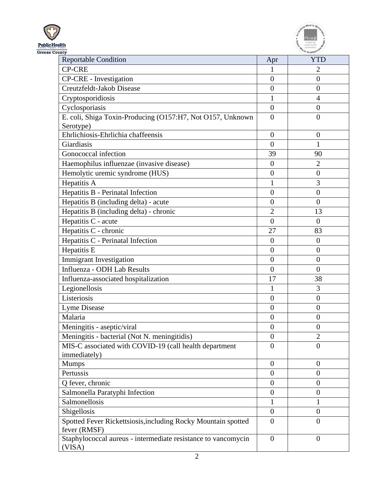



| <b>Reportable Condition</b>                                                   | Apr              | <b>YTD</b>       |
|-------------------------------------------------------------------------------|------------------|------------------|
| <b>CP-CRE</b>                                                                 | 1                | $\overline{2}$   |
| CP-CRE - Investigation                                                        | $\overline{0}$   | $\overline{0}$   |
| Creutzfeldt-Jakob Disease                                                     | $\overline{0}$   | $\overline{0}$   |
| Cryptosporidiosis                                                             | 1                | $\overline{4}$   |
| Cyclosporiasis                                                                | $\overline{0}$   | $\overline{0}$   |
| E. coli, Shiga Toxin-Producing (O157:H7, Not O157, Unknown                    | $\overline{0}$   | $\overline{0}$   |
| Serotype)                                                                     |                  |                  |
| Ehrlichiosis-Ehrlichia chaffeensis                                            | $\overline{0}$   | $\boldsymbol{0}$ |
| Giardiasis                                                                    | $\overline{0}$   | $\mathbf{1}$     |
| Gonococcal infection                                                          | 39               | 90               |
| Haemophilus influenzae (invasive disease)                                     | $\overline{0}$   | $\overline{2}$   |
| Hemolytic uremic syndrome (HUS)                                               | $\boldsymbol{0}$ | $\overline{0}$   |
| Hepatitis A                                                                   | $\mathbf{1}$     | 3                |
| Hepatitis B - Perinatal Infection                                             | $\overline{0}$   | $\overline{0}$   |
| Hepatitis B (including delta) - acute                                         | $\overline{0}$   | $\overline{0}$   |
| Hepatitis B (including delta) - chronic                                       | $\overline{2}$   | 13               |
| Hepatitis C - acute                                                           | $\theta$         | $\overline{0}$   |
| Hepatitis C - chronic                                                         | 27               | 83               |
| Hepatitis C - Perinatal Infection                                             | $\theta$         | $\overline{0}$   |
| Hepatitis E                                                                   | $\overline{0}$   | $\overline{0}$   |
| <b>Immigrant Investigation</b>                                                | $\overline{0}$   | $\overline{0}$   |
| Influenza - ODH Lab Results                                                   | $\theta$         | $\overline{0}$   |
| Influenza-associated hospitalization                                          | 17               | 38               |
| Legionellosis                                                                 | 1                | 3                |
| Listeriosis                                                                   | $\overline{0}$   | $\overline{0}$   |
| Lyme Disease                                                                  | $\overline{0}$   | $\overline{0}$   |
| Malaria                                                                       | $\overline{0}$   | $\overline{0}$   |
| Meningitis - aseptic/viral                                                    | $\boldsymbol{0}$ | $\overline{0}$   |
| Meningitis - bacterial (Not N. meningitidis)                                  | $\overline{0}$   | $\overline{2}$   |
| MIS-C associated with COVID-19 (call health department                        | $\theta$         | $\theta$         |
| immediately)                                                                  |                  |                  |
| <b>Mumps</b>                                                                  | $\theta$         | $\boldsymbol{0}$ |
| Pertussis                                                                     | $\overline{0}$   | $\overline{0}$   |
| Q fever, chronic                                                              | $\overline{0}$   | $\overline{0}$   |
| Salmonella Paratyphi Infection                                                | $\theta$         | $\overline{0}$   |
| Salmonellosis                                                                 | $\mathbf{1}$     | $\mathbf{1}$     |
| Shigellosis                                                                   | $\theta$         | $\overline{0}$   |
| Spotted Fever Rickettsiosis, including Rocky Mountain spotted<br>fever (RMSF) | $\overline{0}$   | $\overline{0}$   |
| Staphylococcal aureus - intermediate resistance to vancomycin<br>(VISA)       | $\overline{0}$   | $\overline{0}$   |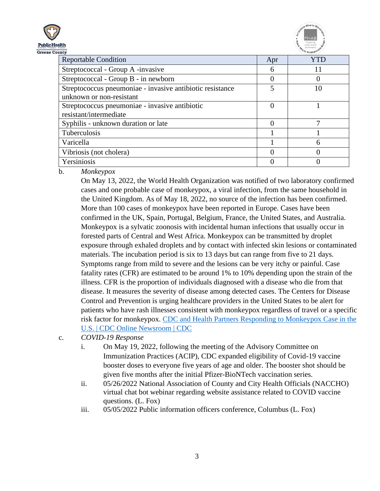



| uncy                                                      |     | <b>TULKEY</b> |
|-----------------------------------------------------------|-----|---------------|
| <b>Reportable Condition</b>                               | Apr | <b>YTD</b>    |
| Streptococcal - Group A -invasive                         | 6   | 11            |
| Streptococcal - Group B - in newborn                      |     |               |
| Streptococcus pneumoniae - invasive antibiotic resistance | 5   | 10            |
| unknown or non-resistant                                  |     |               |
| Streptococcus pneumoniae - invasive antibiotic            |     |               |
| resistant/intermediate                                    |     |               |
| Syphilis - unknown duration or late                       |     |               |
| Tuberculosis                                              |     |               |
| Varicella                                                 |     | 6             |
| Vibriosis (not cholera)                                   |     |               |
| Yersiniosis                                               |     |               |

b. *Monkeypox*

On May 13, 2022, the World Health Organization was notified of two laboratory confirmed cases and one probable case of monkeypox, a viral infection, from the same household in the United Kingdom. As of May 18, 2022, no source of the infection has been confirmed. More than 100 cases of monkeypox have been reported in Europe. Cases have been confirmed in the UK, Spain, Portugal, Belgium, France, the United States, and Australia. Monkeypox is a sylvatic zoonosis with incidental human infections that usually occur in forested parts of Central and West Africa. Monkeypox can be transmitted by droplet exposure through exhaled droplets and by contact with infected skin lesions or contaminated materials. The incubation period is six to 13 days but can range from five to 21 days. Symptoms range from mild to severe and the lesions can be very itchy or painful. Case fatality rates (CFR) are estimated to be around 1% to 10% depending upon the strain of the illness. CFR is the proportion of individuals diagnosed with a disease who die from that disease. It measures the severity of disease among detected cases. The Centers for Disease Control and Prevention is urging healthcare providers in the United States to be alert for patients who have rash illnesses consistent with monkeypox regardless of travel or a specific risk factor for monkeypox. [CDC and Health Partners Responding to Monkeypox Case in the](https://www.cdc.gov/media/releases/2022/s0518-monkeypox-case.html)  [U.S. | CDC Online Newsroom | CDC](https://www.cdc.gov/media/releases/2022/s0518-monkeypox-case.html)

c. *COVID-19 Response*

- i. On May 19, 2022, following the meeting of the Advisory Committee on Immunization Practices (ACIP), CDC expanded eligibility of Covid-19 vaccine booster doses to everyone five years of age and older. The booster shot should be given five months after the initial Pfizer-BioNTech vaccination series.
- ii. 05/26/2022 National Association of County and City Health Officials (NACCHO) virtual chat bot webinar regarding website assistance related to COVID vaccine questions. (L. Fox)
- iii. 05/05/2022 Public information officers conference, Columbus (L. Fox)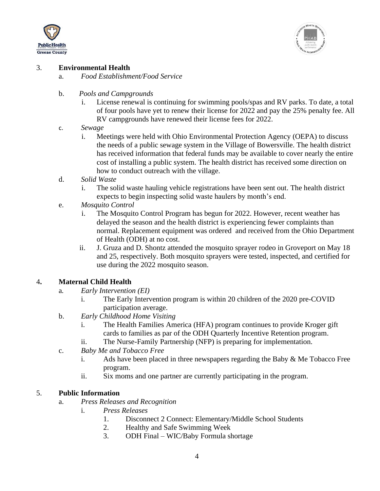



### 3. **Environmental Health**

- a. *Food Establishment/Food Service*
- b. *Pools and Campgrounds*
	- i. License renewal is continuing for swimming pools/spas and RV parks. To date, a total of four pools have yet to renew their license for 2022 and pay the 25% penalty fee. All RV campgrounds have renewed their license fees for 2022.
- c. *Sewage*
	- i. Meetings were held with Ohio Environmental Protection Agency (OEPA) to discuss the needs of a public sewage system in the Village of Bowersville. The health district has received information that federal funds may be available to cover nearly the entire cost of installing a public system. The health district has received some direction on how to conduct outreach with the village.
- d. *Solid Waste*
	- i. The solid waste hauling vehicle registrations have been sent out. The health district expects to begin inspecting solid waste haulers by month's end.
- e. *Mosquito Control*
	- i. The Mosquito Control Program has begun for 2022. However, recent weather has delayed the season and the health district is experiencing fewer complaints than normal. Replacement equipment was ordered and received from the Ohio Department of Health (ODH) at no cost.
	- ii. J. Gruza and D. Shontz attended the mosquito sprayer rodeo in Groveport on May 18 and 25, respectively. Both mosquito sprayers were tested, inspected, and certified for use during the 2022 mosquito season.

### 4**. Maternal Child Health**

- a*. Early Intervention (EI)*
	- i. The Early Intervention program is within 20 children of the 2020 pre-COVID participation average.
- b. *Early Childhood Home Visiting*
	- i. The Health Families America (HFA) program continues to provide Kroger gift cards to families as par of the ODH Quarterly Incentive Retention program.
	- ii. The Nurse-Family Partnership (NFP) is preparing for implementation.
- c. *Baby Me and Tobacco Free*
	- i. Ads have been placed in three newspapers regarding the Baby  $\&$  Me Tobacco Free program.
	- ii. Six moms and one partner are currently participating in the program.

### 5. **Public Information**

- a. *Press Releases and Recognition*
	- i. *Press Releases*
		- 1. Disconnect 2 Connect: Elementary/Middle School Students
		- 2. Healthy and Safe Swimming Week
		- 3. ODH Final WIC/Baby Formula shortage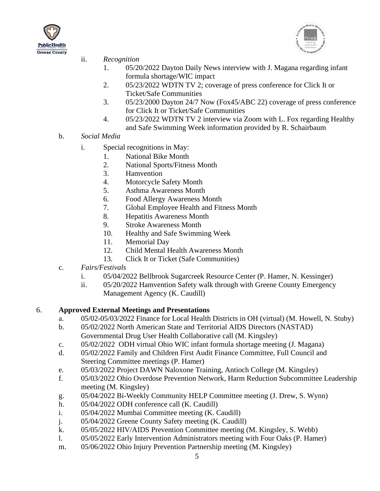



- ii. *Recognition*
	- 1. 05/20/2022 Dayton Daily News interview with J. Magana regarding infant formula shortage/WIC impact
	- 2. 05/23/2022 WDTN TV 2; coverage of press conference for Click It or Ticket/Safe Communities
	- 3. 05/23/2000 Dayton 24/7 Now (Fox45/ABC 22) coverage of press conference for Click It or Ticket/Safe Communities
	- 4. 05/23/2022 WDTN TV 2 interview via Zoom with L. Fox regarding Healthy and Safe Swimming Week information provided by R. Schairbaum
- b. *Social Media*
	- i. Special recognitions in May:
		- 1. National Bike Month
		- 2. National Sports/Fitness Month
		- 3. Hamvention
		- 4. Motorcycle Safety Month
		- 5. Asthma Awareness Month
		- 6. Food Allergy Awareness Month
		- 7. Global Employee Health and Fitness Month
		- 8. Hepatitis Awareness Month
		- 9. Stroke Awareness Month
		- 10. Healthy and Safe Swimming Week
		- 11. Memorial Day
		- 12. Child Mental Health Awareness Month
		- 13. Click It or Ticket (Safe Communities)
- c. *Fairs/Festivals*
	- i. 05/04/2022 Bellbrook Sugarcreek Resource Center (P. Hamer, N. Kessinger)
	- ii. 05/20/2022 Hamvention Safety walk through with Greene County Emergency Management Agency (K. Caudill)

## 6. **Approved External Meetings and Presentations**

- a. 05/02-05/03/2022 Finance for Local Health Districts in OH (virtual) (M. Howell, N. Stuby)
- b. 05/02/2022 North American State and Territorial AIDS Directors (NASTAD) Governmental Drug User Health Collaborative call (M. Kingsley)
- c. 05/02/2022 ODH virtual Ohio WIC infant formula shortage meeting (J. Magana)
- d. 05/02/2022 Family and Children First Audit Finance Committee, Full Council and Steering Committee meetings (P. Hamer)
- e. 05/03/2022 Project DAWN Naloxone Training, Antioch College (M. Kingsley)
- f. 05/03/2022 Ohio Overdose Prevention Network, Harm Reduction Subcommittee Leadership meeting (M. Kingsley)
- g. 05/04/2022 Bi-Weekly Community HELP Committee meeting (J. Drew, S. Wynn)
- h. 05/04/2022 ODH conference call (K. Caudill)
- i. 05/04/2022 Mumbai Committee meeting (K. Caudill)
- j. 05/04/2022 Greene County Safety meeting (K. Caudill)
- k. 05/05/2022 HIV/AIDS Prevention Committee meeting (M. Kingsley, S. Webb)
- l. 05/05/2022 Early Intervention Administrators meeting with Four Oaks (P. Hamer)
- m. 05/06/2022 Ohio Injury Prevention Partnership meeting (M. Kingsley)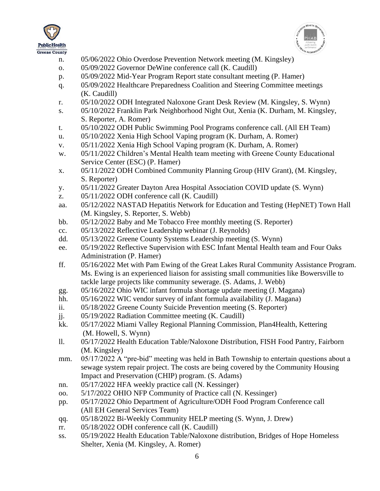



- n. 05/06/2022 Ohio Overdose Prevention Network meeting (M. Kingsley)
- o. 05/09/2022 Governor DeWine conference call (K. Caudill)
- p. 05/09/2022 Mid-Year Program Report state consultant meeting (P. Hamer)
- q. 05/09/2022 Healthcare Preparedness Coalition and Steering Committee meetings (K. Caudill)
- r. 05/10/2022 ODH Integrated Naloxone Grant Desk Review (M. Kingsley, S. Wynn)
- s. 05/10/2022 Franklin Park Neighborhood Night Out, Xenia (K. Durham, M. Kingsley, S. Reporter, A. Romer)
- t. 05/10/2022 ODH Public Swimming Pool Programs conference call. (All EH Team)
- u. 05/10/2022 Xenia High School Vaping program (K. Durham, A. Romer)
- v. 05/11/2022 Xenia High School Vaping program (K. Durham, A. Romer)
- w. 05/11/2022 Children's Mental Health team meeting with Greene County Educational Service Center (ESC) (P. Hamer)
- x. 05/11/2022 ODH Combined Community Planning Group (HIV Grant), (M. Kingsley, S. Reporter)
- y. 05/11/2022 Greater Dayton Area Hospital Association COVID update (S. Wynn)
- z. 05/11/2022 ODH conference call (K. Caudill)
- aa. 05/12/2022 NASTAD Hepatitis Network for Education and Testing (HepNET) Town Hall (M. Kingsley, S. Reporter, S. Webb)
- bb. 05/12/2022 Baby and Me Tobacco Free monthly meeting (S. Reporter)
- cc. 05/13/2022 Reflective Leadership webinar (J. Reynolds)
- dd. 05/13/2022 Greene County Systems Leadership meeting (S. Wynn)
- ee. 05/19/2022 Reflective Supervision with ESC Infant Mental Health team and Four Oaks Administration (P. Hamer)
- ff. 05/16/2022 Met with Pam Ewing of the Great Lakes Rural Community Assistance Program. Ms. Ewing is an experienced liaison for assisting small communities like Bowersville to tackle large projects like community sewerage. (S. Adams, J. Webb)
- gg. 05/16/2022 Ohio WIC infant formula shortage update meeting (J. Magana)
- hh. 05/16/2022 WIC vendor survey of infant formula availability (J. Magana)
- ii. 05/18/2022 Greene County Suicide Prevention meeting (S. Reporter)
- jj. 05/19/2022 Radiation Committee meeting (K. Caudill)
- kk. 05/17/2022 Miami Valley Regional Planning Commission, Plan4Health, Kettering (M. Howell, S. Wynn)
- ll. 05/17/2022 Health Education Table/Naloxone Distribution, FISH Food Pantry, Fairborn (M. Kingsley)
- mm. 05/17/2022 A "pre-bid" meeting was held in Bath Township to entertain questions about a sewage system repair project. The costs are being covered by the Community Housing Impact and Preservation (CHIP) program. (S. Adams)
- nn. 05/17/2022 HFA weekly practice call (N. Kessinger)
- oo. 5/17/2022 OHIO NFP Community of Practice call (N. Kessinger)
- pp. 05/17/2022 Ohio Department of Agriculture/ODH Food Program Conference call (All EH General Services Team)
- qq. 05/18/2022 Bi-Weekly Community HELP meeting (S. Wynn, J. Drew)
- rr. 05/18/2022 ODH conference call (K. Caudill)
- ss. 05/19/2022 Health Education Table/Naloxone distribution, Bridges of Hope Homeless Shelter, Xenia (M. Kingsley, A. Romer)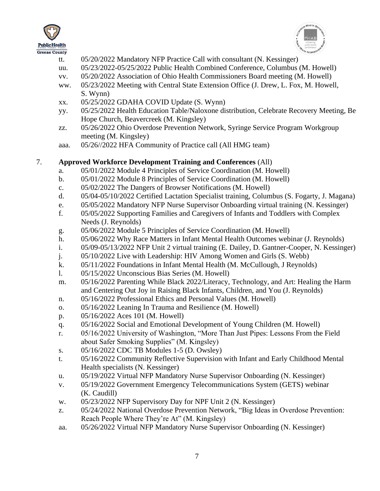



- tt. 05/20/2022 Mandatory NFP Practice Call with consultant (N. Kessinger)
- uu. 05/23/2022-05/25/2022 Public Health Combined Conference, Columbus (M. Howell)
- vv. 05/20/2022 Association of Ohio Health Commissioners Board meeting (M. Howell)
- ww. 05/23/2022 Meeting with Central State Extension Office (J. Drew, L. Fox, M. Howell, S. Wynn)
- xx. 05/25/2022 GDAHA COVID Update (S. Wynn)
- yy. 05/25/2022 Health Education Table/Naloxone distribution, Celebrate Recovery Meeting, Be Hope Church, Beavercreek (M. Kingsley)
- zz. 05/26/2022 Ohio Overdose Prevention Network, Syringe Service Program Workgroup meeting (M. Kingsley)
- aaa. 05/26//2022 HFA Community of Practice call (All HMG team)

## 7. **Approved Workforce Development Training and Conferences** (All)

- a. 05/01/2022 Module 4 Principles of Service Coordination (M. Howell)
- b. 05/01/2022 Module 8 Principles of Service Coordination (M. Howell)
- c. 05/02/2022 The Dangers of Browser Notifications (M. Howell)
- d. 05/04-05/10/2022 Certified Lactation Specialist training, Columbus (S. Fogarty, J. Magana)
- e. 05/05/2022 Mandatory NFP Nurse Supervisor Onboarding virtual training (N. Kessinger)
- f. 05/05/2022 Supporting Families and Caregivers of Infants and Toddlers with Complex Needs (J. Reynolds)
- g. 05/06/2022 Module 5 Principles of Service Coordination (M. Howell)
- h. 05/06/2022 Why Race Matters in Infant Mental Health Outcomes webinar (J. Reynolds)
- i. 05/09-05/13/2022 NFP Unit 2 virtual training (E. Dailey, D. Gantner-Cooper, N. Kessinger)
- j. 05/10/2022 Live with Leadership: HIV Among Women and Girls (S. Webb)
- k. 05/11/2022 Foundations in Infant Mental Health (M. McCullough, J Reynolds)
- l. 05/15/2022 Unconscious Bias Series (M. Howell)
- m. 05/16/2022 Parenting While Black 2022/Literacy, Technology, and Art: Healing the Harm and Centering Out Joy in Raising Black Infants, Children, and You (J. Reynolds)
- n. 05/16/2022 Professional Ethics and Personal Values (M. Howell)
- o. 05/16/2022 Leaning In Trauma and Resilience (M. Howell)
- p. 05/16/2022 Aces 101 (M. Howell)
- q. 05/16/2022 Social and Emotional Development of Young Children (M. Howell)
- r. 05/16/2022 University of Washington, "More Than Just Pipes: Lessons From the Field about Safer Smoking Supplies" (M. Kingsley)
- s. 05/16/2022 CDC TB Modules 1-5 (D. Owsley)
- t. 05/16/2022 Community Reflective Supervision with Infant and Early Childhood Mental Health specialists (N. Kessinger)
- u. 05/19/2022 Virtual NFP Mandatory Nurse Supervisor Onboarding (N. Kessinger)
- v. 05/19/2022 Government Emergency Telecommunications System (GETS) webinar (K. Caudill)
- w. 05/23/2022 NFP Supervisory Day for NPF Unit 2 (N. Kessinger)
- z. 05/24/2022 National Overdose Prevention Network, "Big Ideas in Overdose Prevention: Reach People Where They're At" (M. Kingsley)
- aa. 05/26/2022 Virtual NFP Mandatory Nurse Supervisor Onboarding (N. Kessinger)